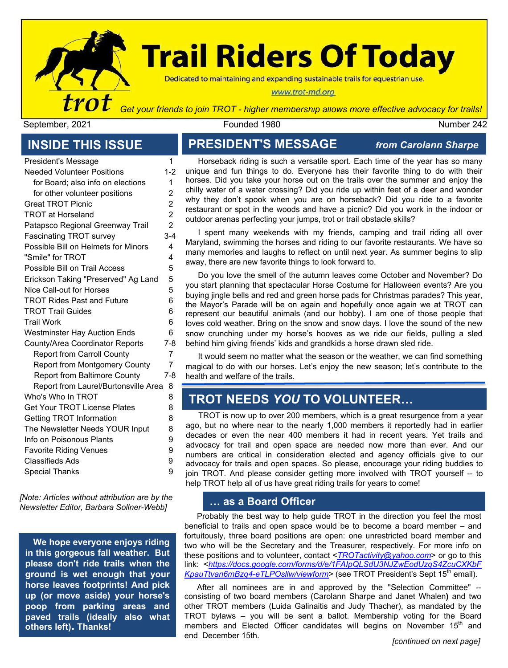

# **Trail Riders Of Today**

Dedicated to maintaining and expanding sustainable trails for equestrian use.

#### www.trot-md.org

*Get your friends to join TROT - higher membership allows more effective advocacy for trails!*

September, 2021 Founded 1980 Number 242

President's Message 1

#### **INSIDE THIS ISSUE**

| Presidents iviessage                 |                |
|--------------------------------------|----------------|
| <b>Needed Volunteer Positions</b>    | $1 - 2$        |
| for Board; also info on elections    | 1              |
| for other volunteer positions        | 2              |
| <b>Great TROT Picnic</b>             | $\overline{c}$ |
| <b>TROT at Horseland</b>             | $\overline{c}$ |
| Patapsco Regional Greenway Trail     | 2              |
| <b>Fascinating TROT survey</b>       | $3 - 4$        |
| Possible Bill on Helmets for Minors  | 4              |
| "Smile" for TROT                     | 4              |
| Possible Bill on Trail Access        | 5              |
| Erickson Taking "Preserved" Ag Land  | 5              |
| Nice Call-out for Horses             | 5              |
| <b>TROT Rides Past and Future</b>    | 6              |
| <b>TROT Trail Guides</b>             | 6              |
| <b>Trail Work</b>                    | 6              |
| <b>Westminster Hay Auction Ends</b>  | 6              |
| County/Area Coordinator Reports      | 7-8            |
| <b>Report from Carroll County</b>    | 7              |
| Report from Montgomery County        | 7              |
| <b>Report from Baltimore County</b>  | 7-8            |
| Report from Laurel/Burtonsville Area | 8              |
| Who's Who In TROT                    | 8              |
| Get Your TROT License Plates         | 8              |
| Getting TROT Information             | 8              |
| The Newsletter Needs YOUR Input      | 8              |
| Info on Poisonous Plants             | 9              |
| <b>Favorite Riding Venues</b>        | 9              |
| <b>Classifieds Ads</b>               | 9              |
| <b>Special Thanks</b>                | 9              |
|                                      |                |

*[Note: Articles without attribution are by the Newsletter Editor, Barbara Sollner-Webb]*

**We hope everyone enjoys riding in this gorgeous fall weather. But please don't ride trails when the ground is wet enough that your horse leaves footprints! And pick up (or move aside) your horse's poop from parking areas and paved trails (ideally also what others left). Thanks!**

### **PRESIDENT'S MESSAGE** *from Carolann Sharpe*

Horseback riding is such a versatile sport. Each time of the year has so many unique and fun things to do. Everyone has their favorite thing to do with their horses. Did you take your horse out on the trails over the summer and enjoy the chilly water of a water crossing? Did you ride up within feet of a deer and wonder why they don't spook when you are on horseback? Did you ride to a favorite restaurant or spot in the woods and have a picnic? Did you work in the indoor or outdoor arenas perfecting your jumps, trot or trail obstacle skills?

I spent many weekends with my friends, camping and trail riding all over Maryland, swimming the horses and riding to our favorite restaurants. We have so many memories and laughs to reflect on until next year. As summer begins to slip away, there are new favorite things to look forward to.

Do you love the smell of the autumn leaves come October and November? Do you start planning that spectacular Horse Costume for Halloween events? Are you buying jingle bells and red and green horse pads for Christmas parades? This year, the Mayor's Parade will be on again and hopefully once again we at TROT can represent our beautiful animals (and our hobby). I am one of those people that loves cold weather. Bring on the snow and snow days. I love the sound of the new snow crunching under my horse's hooves as we ride our fields, pulling a sled behind him giving friends' kids and grandkids a horse drawn sled ride.

It would seem no matter what the season or the weather, we can find something magical to do with our horses. Let's enjoy the new season; let's contribute to the health and welfare of the trails.

### **TROT NEEDS** *YOU* **TO VOLUNTEER…**

TROT is now up to over 200 members, which is a great resurgence from a year ago, but no where near to the nearly 1,000 members it reportedly had in earlier decades or even the near 400 members it had in recent years. Yet trails and advocacy for trail and open space are needed now more than ever. And our numbers are critical in consideration elected and agency officials give to our advocacy for trails and open spaces. So please, encourage your riding buddies to join TROT. And please consider getting more involved with TROT yourself -- to help TROT help all of us have great riding trails for years to come!

#### **… as a Board Officer**

Probably the best way to help guide TROT in the direction you feel the most beneficial to trails and open space would be to become a board member – and fortuitously, three board positions are open: one unrestricted board member and two who will be the Secretary and the Treasurer, respectively. For more info on these positions and to volunteer, contact <*[TROTactivity@yahoo.com](mailto:TROTactivities@yahoo.com)*> or go to this link: <*[https://docs.google.com/forms/d/e/1FAIpQLSdU3NJZwEodUzqS4ZcuCXKbF](https://docs.google.com/forms/d/e/1FAIpQLSdU3NJZwEodUzqS4ZcuCXKbFKpauTtvan6mBzq4-eTLPOsllw/viewform)* KpauTtvan6mBzq4-eTLPOsllw/viewform> (see TROT President's Sept 15<sup>th</sup> email).

*[continued on next page]* After all nominees are in and approved by the "Selection Committee" - consisting of two board members (Carolann Sharpe and Janet Whalen**)** and two other TROT members (Luida Galinaitis and Judy Thacher), as mandated by the TROT bylaws – you will be sent a ballot. Membership voting for the Board members and Elected Officer candidates will begins on November 15<sup>th</sup> and end December 15th.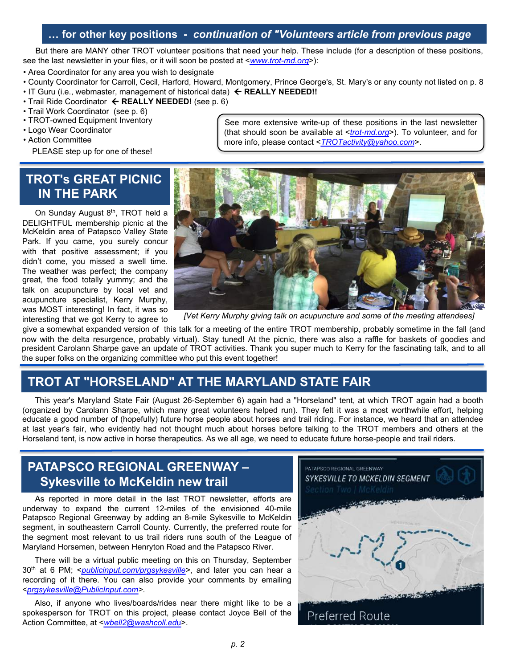#### **… for other key positions -** *continuation of "Volunteers article from previous page*

But there are MANY other TROT volunteer positions that need your help. These include (for a description of these positions, see the last newsletter in your files, or it will soon be posted at <*[www.trot-md.org](http://www.trot-md.org/)*>):

- Area Coordinator for any area you wish to designate
- County Coordinator for Carroll, Cecil, Harford, Howard, Montgomery, Prince George's, St. Mary's or any county not listed on p. 8
- IT Guru (i.e., webmaster, management of historical data) ß **REALLY NEEDED!!**
- Trail Ride Coordinator  $\leftarrow$  **REALLY NEEDED!** (see p. 6)
- Trail Work Coordinator (see p. 6)
- TROT-owned Equipment Inventory
- Logo Wear Coordinator
- Action Committee

PLEASE step up for one of these!

#### **TROT's GREAT PICNIC IN THE PARK**

On Sunday August 8<sup>th</sup>, TROT held a DELIGHTFUL membership picnic at the McKeldin area of Patapsco Valley State Park. If you came, you surely concur with that positive assessment; if you didn't come, you missed a swell time. The weather was perfect; the company great, the food totally yummy; and the talk on acupuncture by local vet and acupuncture specialist, Kerry Murphy, was MOST interesting! In fact, it was so interesting that we got Kerry to agree to



*[Vet Kerry Murphy giving talk on acupuncture and some of the meeting attendees]*

give a somewhat expanded version of this talk for a meeting of the entire TROT membership, probably sometime in the fall (and now with the delta resurgence, probably virtual). Stay tuned! At the picnic, there was also a raffle for baskets of goodies and president Carolann Sharpe gave an update of TROT activities. Thank you super much to Kerry for the fascinating talk, and to all the super folks on the organizing committee who put this event together!

### **TROT AT "HORSELAND" AT THE MARYLAND STATE FAIR**

This year's Maryland State Fair (August 26-September 6) again had a "Horseland" tent, at which TROT again had a booth (organized by Carolann Sharpe, which many great volunteers helped run). They felt it was a most worthwhile effort, helping educate a good number of (hopefully) future horse people about horses and trail riding. For instance, we heard that an attendee at last year's fair, who evidently had not thought much about horses before talking to the TROT members and others at the Horseland tent, is now active in horse therapeutics. As we all age, we need to educate future horse-people and trail riders.

### **PATAPSCO REGIONAL GREENWAY – Sykesville to McKeldin new trail**

As reported in more detail in the last TROT newsletter, efforts are underway to expand the current 12-miles of the envisioned 40-mile Patapsco Regional Greenway by adding an 8-mile Sykesville to McKeldin segment, in southeastern Carroll County. Currently, the preferred route for the segment most relevant to us trail riders runs south of the League of Maryland Horsemen, between Henryton Road and the Patapsco River.

There will be a virtual public meeting on this on Thursday, September 30th at 6 PM; <*[publicinput.com/prgsykesville>](https://nam02.safelinks.protection.outlook.com/?url=https%3A%2F%2Fu6075207.ct.sendgrid.net%2Fls%2Fclick%3Fupn%3DjvYSJkovw4Ancd4dPfgUDrbFOeMceJn2HlPWY3IYlzUEOSaJlEh5UCIFa4HPmT6wn970sWd8NkE4S4L43iZWf6u3aeEwGkiVXv9fHaj-2Bq6xZbKYdycnB8QMbph1y2eNw89lk-2FrG4BvSnNV7WkgnTb-2FPMxv9B-2FNMmqu1fLN19djUhl3Hjzz30Lmub6KkYbd3Yz9Zfj3lFktbZw3yjVxCBMQ-3D-3D_AIj_yLYOHszku8JDQN3NMnFskNI8vjCi5Se5VsnaqQL5GoxEhV7J-2F2Qu3ktptLjxIrGzRntQ5VlnYn7TGAIYVNsebmajqj3XVDvCc0BkGQXoNiq7Kie4UekV5UtQzkHVgGOwcocHwOZCmkT7-2FK-2FwPs2-2Bzp7lFFxhBqcLaRuBXN43cBnQgbTnijCcWYJktZjltHLrM-2FE6hD6Ivyi-2Bsnu5mnZrC0SnblEIJMidpG3boUhsvDsUq76wmD9-2FeWPQr5n5RNLuXYp4CR-2FV9reGhD68yxvkcDleUhuN6TF2-2FL7N7BWk00NsH9BRnmenL5yNuhbAiyzd0q7-2BHImMLGB59vLlN6g-2Bs2HEa5qejVYgVYkJebQ0VDcu7LgNTd2HR7nU3onfAi8i9h8YyIC6ZDg5kqP5ufr7h2-2FxBX2pvmTjxqK3jzAFNjl6vYLQUhlRp0byMVUBJ8dc3cbMlhMeu6x9-2FvKIvy5Ah28K-2FroHJZCiJAlnuGHxGdU-3D&data=04%7C01%7Cbsw%40jhmi.edu%7C97bcb28b20774d51c09608d97d06a6b4%7C9fa4f438b1e6473b803f86f8aedf0dec%7C0%7C0%7C637678289818542963%7CUnknown%7CTWFpbGZsb3d8eyJWIjoiMC4wLjAwMDAiLCJQIjoiV2luMzIiLCJBTiI6Ik1haWwiLCJXVCI6Mn0%3D%7C1000&sdata=nhl3fgj3%2FbgkepzSR5cC1jWd7LJCgmAqDCqiiqBTK3w%3D&reserved=0)*, and later you can hear a recording of it there. You can also provide your comments by emailing <*[prgsykesville@PublicInput.com>](mailto:prgsykesville@PublicInput.com).*

Also, if anyone who lives/boards/rides near there might like to be a spokesperson for TROT on this project, please contact Joyce Bell of the Action Committee, at <*[wbell2@washcoll.ed](mailto:wbell2@washcoll.edu)*u>.



See more extensive write-up of these positions in the last newsletter (that should soon be available at <*[trot-md.org](http://trot-md.org/)*>). To volunteer, and for more info, please contact <*[TROTactivity@yahoo.com](mailto:TROTactivity@yahoo.com)*>.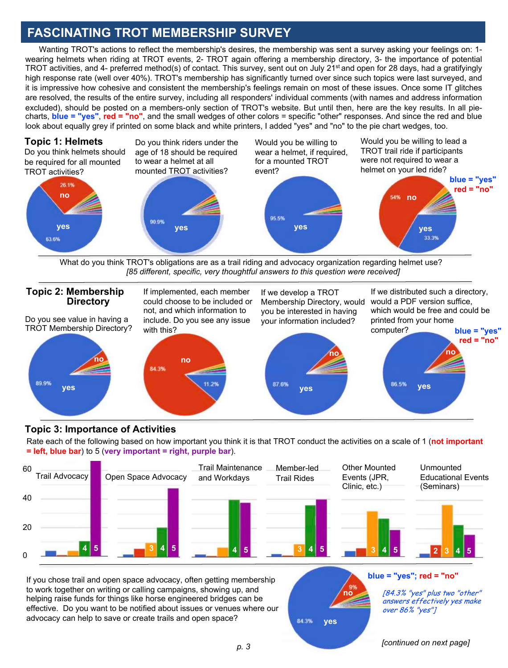### **FASCINATING TROT MEMBERSHIP SURVEY**

Wanting TROT's actions to reflect the membership's desires, the membership was sent a survey asking your feelings on: 1 wearing helmets when riding at TROT events, 2- TROT again offering a membership directory, 3- the importance of potential TROT activities, and 4- preferred method(s) of contact. This survey, sent out on July 21<sup>st</sup> and open for 28 days, had a gratifyingly high response rate (well over 40%). TROT's membership has significantly turned over since such topics were last surveyed, and it is impressive how cohesive and consistent the membership's feelings remain on most of these issues. Once some IT glitches are resolved, the results of the entire survey, including all responders' individual comments (with names and address information excluded), should be posted on a members-only section of TROT's website. But until then, here are the key results. In all piecharts, **blue = "yes"**, **red = "no"**, and the small wedges of other colors = specific "other" responses. And since the red and blue look about equally grey if printed on some black and white printers, I added "yes" and "no" to the pie chart wedges, too.



What do you think TROT's obligations are as a trail riding and advocacy organization regarding helmet use? *[85 different, specific, very thoughtful answers to this question were received]*



#### **Topic 3: Importance of Activities**

Rate each of the following based on how important you think it is that TROT conduct the activities on a scale of 1 (**not important = left, blue bar**) to 5 (**very important = right, purple bar**).



If you chose trail and open space advocacy, often getting membership to work together on writing or calling campaigns, showing up, and helping raise funds for things like horse engineered bridges can be effective. Do you want to be notified about issues or venues where our advocacy can help to save or create trails and open space?

**blue = "yes"; red = "no"**

[84.3% "yes" plus two "other" answers effectively yes make over 86% "yes"]

*[continued on next page]*

**yes**

84.3%

**no**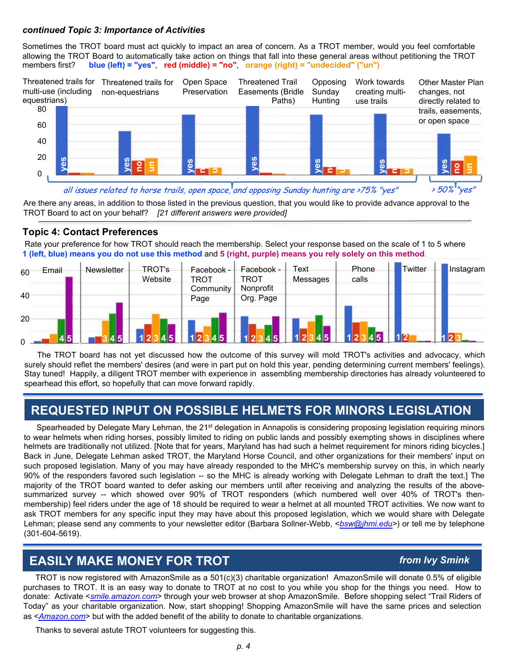#### *continued Topic 3: Importance of Activities*

Sometimes the TROT board must act quickly to impact an area of concern. As a TROT member, would you feel comfortable allowing the TROT Board to automatically take action on things that fall into these general areas without petitioning the TROT members first? blue (left) = "ves". red (middle) = "no". orange (right) = "undecided" ("un") members first? **blue (left) = "yes"**, **red (middle) = "no"**, **orange (right) = "undecided" ("un")**



#### **Topic 4: Contact Preferences**

| ۷J<br>0               | ga                                                                                                                                                                                                                                                                                                                                                     | $\overline{S}$<br>$\Xi$ | <b>Sal</b>                      | စ္မ                                    | <b>Sev</b>       | yes            |         | <b>ves</b>                 |
|-----------------------|--------------------------------------------------------------------------------------------------------------------------------------------------------------------------------------------------------------------------------------------------------------------------------------------------------------------------------------------------------|-------------------------|---------------------------------|----------------------------------------|------------------|----------------|---------|----------------------------|
|                       | all issues related to horse trails, open space, and opposing Sunday hunting are >75% "yes"<br>Are there any areas, in addition to those listed in the previous question, that you would like to provide advance approval to the                                                                                                                        |                         |                                 |                                        |                  |                |         | $>50\%$ <sup>1</sup> "yes" |
|                       | TROT Board to act on your behalf? [21 different answers were provided]<br><b>Topic 4: Contact Preferences</b><br>Rate your preference for how TROT should reach the membership. Select your response based on the scale of 1 to 5 where<br>1 (left, blue) means you do not use this method and 5 (right, purple) means you rely solely on this method. |                         |                                 |                                        |                  |                |         |                            |
| Email<br>60           | Newsletter                                                                                                                                                                                                                                                                                                                                             | TROT's<br>Website       | Facebook -<br>TROT<br>Community | Facebook -<br><b>TROT</b><br>Nonprofit | Text<br>Messages | Phone<br>calls | Twitter | Instagram                  |
| 40<br>20 <sub>1</sub> |                                                                                                                                                                                                                                                                                                                                                        |                         | Page                            | Org. Page                              |                  |                |         |                            |
|                       |                                                                                                                                                                                                                                                                                                                                                        |                         |                                 |                                        |                  |                |         |                            |

The TROT board has not yet discussed how the outcome of this survey will mold TROT's activities and advocacy, which surely should reflet the members' desires (and were in part put on hold this year, pending determining current members' feelings). Stay tuned! Happily, a diligent TROT member with experience in assembling membership directories has already volunteered to spearhead this effort, so hopefully that can move forward rapidly.

### **REQUESTED INPUT ON POSSIBLE HELMETS FOR MINORS LEGISLATION**

Spearheaded by Delegate Mary Lehman, the 21<sup>st</sup> delegation in Annapolis is considering proposing legislation requiring minors to wear helmets when riding horses, possibly limited to riding on public lands and possibly exempting shows in disciplines where helmets are traditionally not utilized. [Note that for years, Maryland has had such a helmet requirement for minors riding bicycles.] Back in June, Delegate Lehman asked TROT, the Maryland Horse Council, and other organizations for their members' input on such proposed legislation. Many of you may have already responded to the MHC's membership survey on this, in which nearly 90% of the responders favored such legislation -- so the MHC is already working with Delegate Lehman to draft the text.] The majority of the TROT board wanted to defer asking our members until after receiving and analyzing the results of the abovesummarized survey -- which showed over 90% of TROT responders (which numbered well over 40% of TROT's thenmembership) feel riders under the age of 18 should be required to wear a helmet at all mounted TROT activities. We now want to ask TROT members for any specific input they may have about this proposed legislation, which we would share with Delegate Lehman; please send any comments to your newsletter editor (Barbara Sollner-Webb, <*[bsw@jhmi.edu>](mailto:bsw@jhmi.edu)*) or tell me by telephone (301-604-5619).

#### **EASILY MAKE MONEY FOR TROT**

#### *from Ivy Smink*

TROT is now registered with AmazonSmile as a 501(c)(3) charitable organization! AmazonSmile will donate 0.5% of eligible purchases to TROT. It is an easy way to donate to TROT at no cost to you while you shop for the things you need. How to donate: Activate <*[smile.amazon.com](http://smile.amazon.com/)*> through your web browser at shop AmazonSmile. Before shopping select "Trail Riders of Today" as your charitable organization. Now, start shopping! Shopping AmazonSmile will have the same prices and selection as <*[Amazon.com](http://amazon.com/)*> but with the added benefit of the ability to donate to charitable organizations.

Thanks to several astute TROT volunteers for suggesting this.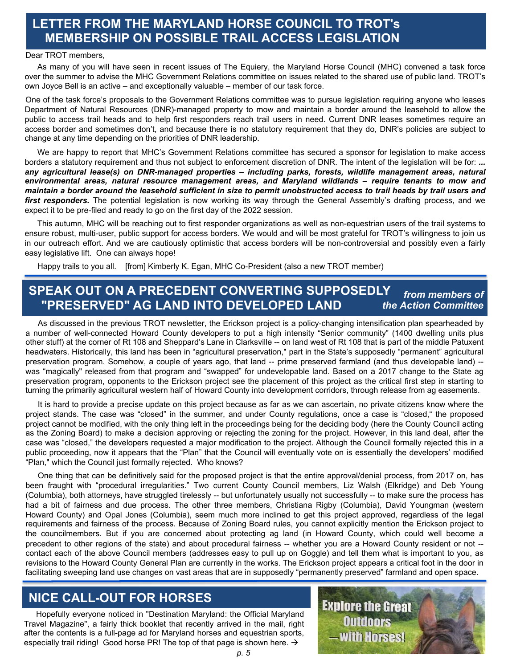### **LETTER FROM THE MARYLAND HORSE COUNCIL TO TROT's MEMBERSHIP ON POSSIBLE TRAIL ACCESS LEGISLATION**

#### Dear TROT members,

As many of you will have seen in recent issues of The Equiery, the Maryland Horse Council (MHC) convened a task force over the summer to advise the MHC Government Relations committee on issues related to the shared use of public land. TROT's own Joyce Bell is an active – and exceptionally valuable – member of our task force.

One of the task force's proposals to the Government Relations committee was to pursue legislation requiring anyone who leases Department of Natural Resources (DNR)-managed property to mow and maintain a border around the leasehold to allow the public to access trail heads and to help first responders reach trail users in need. Current DNR leases sometimes require an access border and sometimes don't, and because there is no statutory requirement that they do, DNR's policies are subject to change at any time depending on the priorities of DNR leadership.

We are happy to report that MHC's Government Relations committee has secured a sponsor for legislation to make access borders a statutory requirement and thus not subject to enforcement discretion of DNR. The intent of the legislation will be for: *... any agricultural lease(s) on DNR-managed properties – including parks, forests, wildlife management areas, natural environmental areas, natural resource management areas, and Maryland wildlands – require tenants to mow and* maintain a border around the leasehold sufficient in size to permit unobstructed access to trail heads by trail users and *first responders.* The potential legislation is now working its way through the General Assembly's drafting process, and we expect it to be pre-filed and ready to go on the first day of the 2022 session.

This autumn, MHC will be reaching out to first responder organizations as well as non-equestrian users of the trail systems to ensure robust, multi-user, public support for access borders. We would and will be most grateful for TROT's willingness to join us in our outreach effort. And we are cautiously optimistic that access borders will be non-controversial and possibly even a fairly easy legislative lift. One can always hope!

Happy trails to you all. [from] Kimberly K. Egan, MHC Co-President (also a new TROT member)

#### **SPEAK OUT ON A PRECEDENT CONVERTING SUPPOSEDLY "PRESERVED" AG LAND INTO DEVELOPED LAND**  *from members of the Action Committee*

As discussed in the previous TROT newsletter, the Erickson project is a policy-changing intensification plan spearheaded by a number of well-connected Howard County developers to put a high intensity "Senior community" (1400 dwelling units plus other stuff) at the corner of Rt 108 and Sheppard's Lane in Clarksville -- on land west of Rt 108 that is part of the middle Patuxent headwaters. Historically, this land has been in "agricultural preservation," part in the State's supposedly "permanent" agricultural preservation program. Somehow, a couple of years ago, that land -- prime preserved farmland (and thus developable land) - was "magically" released from that program and "swapped" for undevelopable land. Based on a 2017 change to the State ag preservation program, opponents to the Erickson project see the placement of this project as the critical first step in starting to turning the primarily agricultural western half of Howard County into development corridors, through release from ag easements.

It is hard to provide a precise update on this project because as far as we can ascertain, no private citizens know where the project stands. The case was "closed" in the summer, and under County regulations, once a case is "closed," the proposed project cannot be modified, with the only thing left in the proceedings being for the deciding body (here the County Council acting as the Zoning Board) to make a decision approving or rejecting the zoning for the project. However, in this land deal, after the case was "closed," the developers requested a major modification to the project. Although the Council formally rejected this in a public proceeding, now it appears that the "Plan" that the Council will eventually vote on is essentially the developers' modified "Plan," which the Council just formally rejected. Who knows?

One thing that can be definitively said for the proposed project is that the entire approval/denial process, from 2017 on, has been fraught with "procedural irregularities." Two current County Council members, Liz Walsh (Elkridge) and Deb Young (Columbia), both attorneys, have struggled tirelessly -- but unfortunately usually not successfully -- to make sure the process has had a bit of fairness and due process. The other three members, Christiana Rigby (Columbia), David Youngman (western Howard County) and Opal Jones (Columbia), seem much more inclined to get this project approved, regardless of the legal requirements and fairness of the process. Because of Zoning Board rules, you cannot explicitly mention the Erickson project to the councilmembers. But if you are concerned about protecting ag land (in Howard County, which could well become a precedent to other regions of the state) and about procedural fairness -- whether you are a Howard County resident or not - contact each of the above Council members (addresses easy to pull up on Goggle) and tell them what is important to you, as revisions to the Howard County General Plan are currently in the works. The Erickson project appears a critical foot in the door in facilitating sweeping land use changes on vast areas that are in supposedly "permanently preserved" farmland and open space.

### **NICE CALL-OUT FOR HORSES**

Hopefully everyone noticed in "Destination Maryland: the Official Maryland Travel Magazine", a fairly thick booklet that recently arrived in the mail, right after the contents is a full-page ad for Maryland horses and equestrian sports, especially trail riding! Good horse PR! The top of that page is shown here.  $\rightarrow$ 

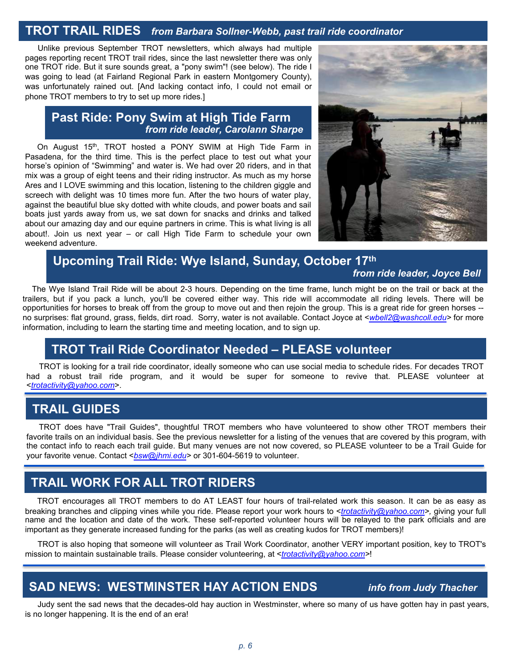## **TROT TRAIL RIDES** *from Barbara Sollner-Webb, past trail ride coordinator*

Unlike previous September TROT newsletters, which always had multiple pages reporting recent TROT trail rides, since the last newsletter there was only one TROT ride. But it sure sounds great, a "pony swim"! (see below). The ride I was going to lead (at Fairland Regional Park in eastern Montgomery County), was unfortunately rained out. [And lacking contact info, I could not email or phone TROT members to try to set up more rides.]

#### **Past Ride: Pony Swim at High Tide Farm** *from ride leader, Carolann Sharpe*

On August 15<sup>th</sup>, TROT hosted a PONY SWIM at High Tide Farm in Pasadena, for the third time. This is the perfect place to test out what your horse's opinion of "Swimming" and water is. We had over 20 riders, and in that mix was a group of eight teens and their riding instructor. As much as my horse Ares and I LOVE swimming and this location, listening to the children giggle and screech with delight was 10 times more fun. After the two hours of water play, against the beautiful blue sky dotted with white clouds, and power boats and sail boats just yards away from us, we sat down for snacks and drinks and talked about our amazing day and our equine partners in crime. This is what living is all about!. Join us next year – or call High Tide Farm to schedule your own weekend adventure.



### **Upcoming Trail Ride: Wye Island, Sunday, October 17th**

*from ride leader, Joyce Bell*

The Wye Island Trail Ride will be about 2-3 hours. Depending on the time frame, lunch might be on the trail or back at the trailers, but if you pack a lunch, you'll be covered either way. This ride will accommodate all riding levels. There will be opportunities for horses to break off from the group to move out and then rejoin the group. This is a great ride for green horses - no surprises: flat ground, grass, fields, dirt road. Sorry, water is not available. Contact Joyce at <*[wbell2@washcoll.edu>](mailto:wbell2@washcoll.edu)* for more information, including to learn the starting time and meeting location, and to sign up.

### **TROT Trail Ride Coordinator Needed – PLEASE volunteer**

TROT is looking for a trail ride coordinator, ideally someone who can use social media to schedule rides. For decades TROT had a robust trail ride program, and it would be super for someone to revive that. PLEASE volunteer at <*[trotactivity@yahoo.com](mailto:trotactivity@yahoo.com)*>.

#### **TRAIL GUIDES**

TROT does have "Trail Guides", thoughtful TROT members who have volunteered to show other TROT members their favorite trails on an individual basis. See the previous newsletter for a listing of the venues that are covered by this program, with the contact info to reach each trail guide. But many venues are not now covered, so PLEASE volunteer to be a Trail Guide for your favorite venue. Contact <*[bsw@jhmi.edu>](mailto:bsw@jhmi.edu)* or 301-604-5619 to volunteer.

### **TRAIL WORK FOR ALL TROT RIDERS**

TROT encourages all TROT members to do AT LEAST four hours of trail-related work this season. It can be as easy as breaking branches and clipping vines while you ride. Please report your work hours to <*[trotactivity@yahoo.com>](mailto:trotactivity@yahoo.com),* giving your full name and the location and date of the work. These self-reported volunteer hours will be relayed to the park officials and are important as they generate increased funding for the parks (as well as creating kudos for TROT members)!

TROT is also hoping that someone will volunteer as Trail Work Coordinator, another VERY important position, key to TROT's mission to maintain sustainable trails. Please consider volunteering, at <*[trotactivity@yahoo.com>](mailto:trotactivity@yahoo.com)*!

### **SAD NEWS: WESTMINSTER HAY ACTION ENDS** *info from Judy Thacher*

Judy sent the sad news that the decades-old hay auction in Westminster, where so many of us have gotten hay in past years, is no longer happening. It is the end of an era!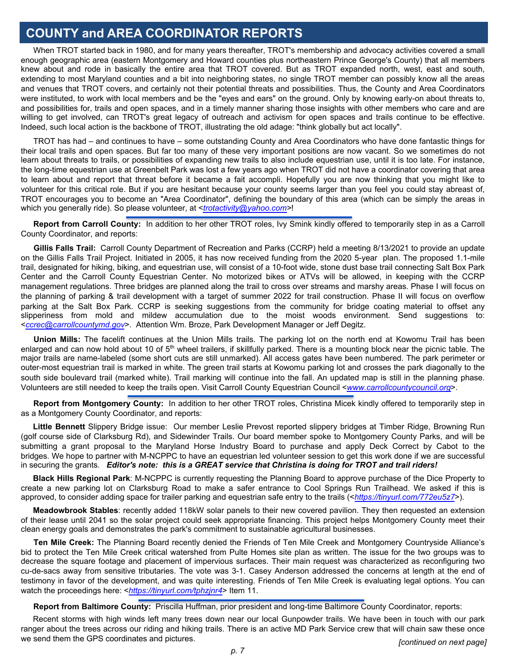### **COUNTY and AREA COORDINATOR REPORTS**

When TROT started back in 1980, and for many years thereafter, TROT's membership and advocacy activities covered a small enough geographic area (eastern Montgomery and Howard counties plus northeastern Prince George's County) that all members knew about and rode in basically the entire area that TROT covered. But as TROT expanded north, west, east and south, extending to most Maryland counties and a bit into neighboring states, no single TROT member can possibly know all the areas and venues that TROT covers, and certainly not their potential threats and possibilities. Thus, the County and Area Coordinators were instituted, to work with local members and be the "eyes and ears" on the ground. Only by knowing early-on about threats to, and possibilities for, trails and open spaces, and in a timely manner sharing those insights with other members who care and are willing to get involved, can TROT's great legacy of outreach and activism for open spaces and trails continue to be effective. Indeed, such local action is the backbone of TROT, illustrating the old adage: "think globally but act locally".

TROT has had – and continues to have – some outstanding County and Area Coordinators who have done fantastic things for their local trails and open spaces. But far too many of these very important positions are now vacant. So we sometimes do not learn about threats to trails, or possibilities of expanding new trails to also include equestrian use, until it is too late. For instance, the long-time equestrian use at Greenbelt Park was lost a few years ago when TROT did not have a coordinator covering that area to learn about and report that threat before it became a fait accompli. Hopefully you are now thinking that you might like to volunteer for this critical role. But if you are hesitant because your county seems larger than you feel you could stay abreast of, TROT encourages you to become an "Area Coordinator", defining the boundary of this area (which can be simply the areas in which you generally ride). So please volunteer, at <*[trotactivity@yahoo.com>](mailto:trotactivity@yahoo.com)*!

**Report from Carroll County:** In addition to her other TROT roles, Ivy Smink kindly offered to temporarily step in as a Carroll County Coordinator, and reports:

**Gillis Falls Trail:** Carroll County Department of Recreation and Parks (CCRP) held a meeting 8/13/2021 to provide an update on the Gillis Falls Trail Project. Initiated in 2005, it has now received funding from the 2020 5-year plan. The proposed 1.1-mile trail, designated for hiking, biking, and equestrian use, will consist of a 10-foot wide, stone dust base trail connecting Salt Box Park Center and the Carroll County Equestrian Center. No motorized bikes or ATVs will be allowed, in keeping with the CCRP management regulations. Three bridges are planned along the trail to cross over streams and marshy areas. Phase I will focus on the planning of parking & trail development with a target of summer 2022 for trail construction. Phase II will focus on overflow parking at the Salt Box Park. CCRP is seeking suggestions from the community for bridge coating material to offset any slipperiness from mold and mildew accumulation due to the moist woods environment. Send suggestions to: <*[ccrec@carrollcountymd.gov](mailto:ccrec@carrollcountymd.gov)*>. Attention Wm. Broze, Park Development Manager or Jeff Degitz.

**Union Mills:** The facelift continues at the Union Mills trails. The parking lot on the north end at Kowomu Trail has been enlarged and can now hold about 10 of 5<sup>th</sup> wheel trailers, if skillfully parked. There is a mounting block near the picnic table. The major trails are name-labeled (some short cuts are still unmarked). All access gates have been numbered. The park perimeter or outer-most equestrian trail is marked in white. The green trail starts at Kowomu parking lot and crosses the park diagonally to the south side boulevard trail (marked white). Trail marking will continue into the fall. An updated map is still in the planning phase. Volunteers are still needed to keep the trails open. Visit Carroll County Equestrian Council <*[www.carrollcountycouncil.org](http://www.carrollcountycouncil.org/)*>.

**Report from Montgomery County:** In addition to her other TROT roles, Christina Micek kindly offered to temporarily step in as a Montgomery County Coordinator, and reports:

**Little Bennett** Slippery Bridge issue: Our member Leslie Prevost reported slippery bridges at Timber Ridge, Browning Run (golf course side of Clarksburg Rd), and Sidewinder Trails. Our board member spoke to Montgomery County Parks, and will be submitting a grant proposal to the Maryland Horse Industry Board to purchase and apply Deck Correct by Cabot to the bridges. We hope to partner with M-NCPPC to have an equestrian led volunteer session to get this work done if we are successful in securing the grants. Editor's note: this is a GREAT service that Christina is doing for TROT and trail riders!

**Black Hills Regional Park**: M-NCPPC is currently requesting the Planning Board to approve purchase of the Dice Property to create a new parking lot on Clarksburg Road to make a safer entrance to Cool Springs Run Trailhead. We asked if this is approved, to consider adding space for trailer parking and equestrian safe entry to the trails (<*<https://tinyurl.com/772eu5z7>*>).

**Meadowbrook Stables**: recently added 118kW solar panels to their new covered pavilion. They then requested an extension of their lease until 2041 so the solar project could seek appropriate financing. This project helps Montgomery County meet their clean energy goals and demonstrates the park's commitment to sustainable agricultural businesses.

**Ten Mile Creek:** The Planning Board recently denied the Friends of Ten Mile Creek and Montgomery Countryside Alliance's bid to protect the Ten Mile Creek critical watershed from Pulte Homes site plan as written. The issue for the two groups was to decrease the square footage and placement of impervious surfaces. Their main request was characterized as reconfiguring two cu-de-sacs away from sensitive tributaries. The vote was 3-1. Casey Anderson addressed the concerns at length at the end of testimony in favor of the development, and was quite interesting. Friends of Ten Mile Creek is evaluating legal options. You can watch the proceedings here: <*<https://tinyurl.com/tphzjnr4>*> Item 11.

**Report from Baltimore County:** Priscilla Huffman, prior president and long-time Baltimore County Coordinator, reports:

Recent storms with high winds left many trees down near our local Gunpowder trails. We have been in touch with our park ranger about the trees across our riding and hiking trails. There is an active MD Park Service crew that will chain saw these once we send them the GPS coordinates and pictures. *[continued on next page]*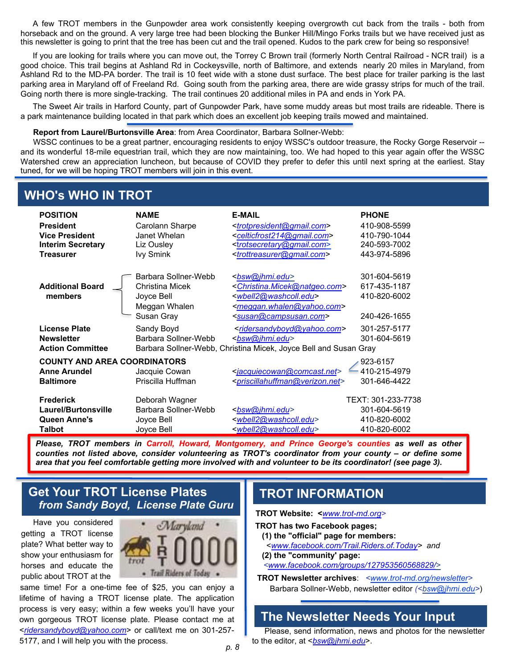A few TROT members in the Gunpowder area work consistently keeping overgrowth cut back from the trails - both from horseback and on the ground. A very large tree had been blocking the Bunker Hill/Mingo Forks trails but we have received just as this newsletter is going to print that the tree has been cut and the trail opened. Kudos to the park crew for being so responsive!

If you are looking for trails where you can move out, the Torrey C Brown trail (formerly North Central Railroad - NCR trail) is a good choice. This trail begins at Ashland Rd in Cockeysville, north of Baltimore, and extends nearly 20 miles in Maryland, from Ashland Rd to the MD-PA border. The trail is 10 feet wide with a stone dust surface. The best place for trailer parking is the last parking area in Maryland off of Freeland Rd. Going south from the parking area, there are wide grassy strips for much of the trail. Going north there is more single-tracking. The trail continues 20 additional miles in PA and ends in York PA.

The Sweet Air trails in Harford County, part of Gunpowder Park, have some muddy areas but most trails are rideable. There is a park maintenance building located in that park which does an excellent job keeping trails mowed and maintained.

#### **Report from Laurel/Burtonsville Area**: from Area Coordinator, Barbara Sollner-Webb:

WSSC continues to be a great partner, encouraging residents to enjoy WSSC's outdoor treasure, the Rocky Gorge Reservoir - and its wonderful 18-mile equestrian trail, which they are now maintaining, too. We had hoped to this year again offer the WSSC Watershed crew an appreciation luncheon, but because of COVID they prefer to defer this until next spring at the earliest. Stay tuned, for we will be hoping TROT members will join in this event.

### **WHO's WHO IN TROT**

| <b>POSITION</b><br><b>President</b><br><b>Vice President</b><br><b>Interim Secretary</b><br><b>Treasurer</b> | <b>NAME</b><br>Carolann Sharpe<br>Janet Whelan<br>Liz Ousley<br><b>Ivy Smink</b>     | <b>E-MAIL</b><br><trotpresident@gmail.com><br/><celticfrost214@gmail.com><br/><trotsecretary@gmail.com><br/><trottreasurer@gmail.com></trottreasurer@gmail.com></trotsecretary@gmail.com></celticfrost214@gmail.com></trotpresident@gmail.com>      | <b>PHONE</b><br>410-908-5599<br>410-790-1044<br>240-593-7002<br>443-974-5896 |
|--------------------------------------------------------------------------------------------------------------|--------------------------------------------------------------------------------------|-----------------------------------------------------------------------------------------------------------------------------------------------------------------------------------------------------------------------------------------------------|------------------------------------------------------------------------------|
| <b>Additional Board</b><br>members                                                                           | Barbara Sollner-Webb<br>Christina Micek<br>Joyce Bell<br>Meggan Whalen<br>Susan Gray | <bsw@jhmi.edu><br/><christina.micek@natgeo.com><br/><wbell2@washcoll.edu><br/><meggan.whalen@yahoo.com><br/><susan@campsusan.com></susan@campsusan.com></meggan.whalen@yahoo.com></wbell2@washcoll.edu></christina.micek@natgeo.com></bsw@jhmi.edu> | 301-604-5619<br>617-435-1187<br>410-820-6002<br>240-426-1655                 |
| <b>License Plate</b><br><b>Newsletter</b><br><b>Action Committee</b>                                         | Sandy Boyd<br>Barbara Sollner-Webb                                                   | <ridersandyboyd@yahoo.com><br/><bsw@jhmi.edu><br/>Barbara Sollner-Webb, Christina Micek, Joyce Bell and Susan Gray</bsw@jhmi.edu></ridersandyboyd@yahoo.com>                                                                                        | 301-257-5177<br>301-604-5619                                                 |
| <b>COUNTY AND AREA COORDINATORS</b><br><b>Anne Arundel</b><br><b>Baltimore</b>                               | Jacquie Cowan<br>Priscilla Huffman                                                   | <jacquiecowan@comcast.net><br/><priscillahuffman@verizon.net></priscillahuffman@verizon.net></jacquiecowan@comcast.net>                                                                                                                             | 923-6157<br>410-215-4979<br>301-646-4422                                     |
| <b>Frederick</b><br>Laurel/Burtonsville<br>Queen Anne's<br>Talbot                                            | Deborah Wagner<br>Barbara Sollner-Webb<br>Joyce Bell<br>Joyce Bell                   | <bsw@jhmi.edu><br/><wbell2@washcoll.edu><br/><wbell2@washcoll.edu></wbell2@washcoll.edu></wbell2@washcoll.edu></bsw@jhmi.edu>                                                                                                                       | TEXT: 301-233-7738<br>301-604-5619<br>410-820-6002<br>410-820-6002           |

*Please, TROT members in Carroll, Howard, Montgomery, and Prince George's counties as well as other counties not listed above, consider volunteering as TROT's coordinator from your county – or define some* area that you feel comfortable getting more involved with and volunteer to be its coordinator! (see page 3).

#### **Get Your TROT License Plates** *from Sandy Boyd, License Plate Guru*

Have you considered getting a TROT license plate? What better way to show your enthusiasm for horses and educate the public about TROT at the



same time! For a one-time fee of \$25, you can enjoy a lifetime of having a TROT license plate. The application process is very easy; within a few weeks you'll have your own gorgeous TROT license plate. Please contact me at <*[ridersandyboyd@yahoo.com](http://ridersandyboyd@yahoo.com)*> or call/text me on 301-257- 5177, and I will help you with the process.

#### **TROT INFORMATION**

**TROT Website: <***[www.trot-md.org>](http://www.trot-md.org/)*

- **TROT has two Facebook pages;**
- **(1) the "official" page for members:**
- <*[www.facebook.com/Trail.Riders.of.Today>](http://www.facebook.com/Trail.Riders.of.Today) and* **(2) the "community' page:**
- *[<www.facebook.com/groups/127953560568829/>](http://www.facebook.com/groups/127953560568829/)*
- **TROT Newsletter archives**: *<www.trot-md.org/newsletter>* Barbara Sollner-Webb, newsletter editor *(<bsw@jhmi.edu>*)

#### **The Newsletter Needs Your Input**

Please, send information, news and photos for the newsletter to the editor, at <*bsw@jhmi.edu*>.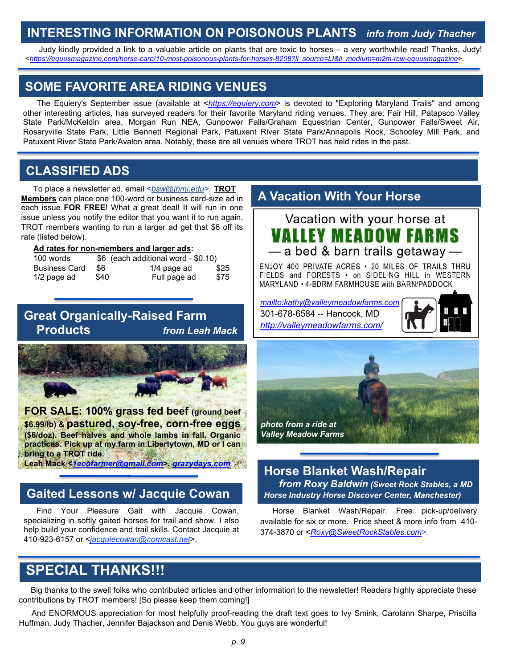### **INTERESTING INFORMATION ON POISONOUS PLANTS** *info from Judy Thacher*

Judy kindly provided a link to a valuable article on plants that are toxic to horses – a very worthwhile read! Thanks, Judy! <*[https://equusmagazine.com/horse-care/10-most-poisonous-plants-for-horses-8208?li\\_source=LI&li\\_medium=m2m-rcw-equusmagazine](https://equusmagazine.com/horse-care/10-most-poisonous-plants-for-horses-8208?li_source=LI&li_medium=m2m-rcw-equusmagazine)*>.

### **SOME FAVORITE AREA RIDING VENUES**

The Equiery's September issue (available at <*[https://equiery.com](https://equiery.com/)*> is devoted to "Exploring Maryland Trails" and among other interesting articles, has surveyed readers for their favorite Maryland riding venues. They are: Fair Hill, Patapsco Valley State Park/McKeldin area, Morgan Run NEA, Gunpower Falls/Graham Equestrian Center, Gunpower Falls/Sweet Air, Rosaryville State Park, Little Bennett Regional Park, Patuxent River State Park/Annapolis Rock, Schooley Mill Park, and Patuxent River State Park/Avalon area. Notably, these are all venues where TROT has held rides in the past.

### **CLASSIFIED ADS**

To place a newsletter ad, email <*bsw@jhmi.edu>.* **TROT Members** can place one 100-word or business card-size ad in each issue **FOR FREE**! What a great deal! It will run in one issue unless you notify the editor that you want it to run again. TROT members wanting to run a larger ad get that \$6 off its rate (listed below).

#### **Ad rates for non-members and larger ads:**

| 100 words            | \$6 (each additional word - \$0.10) |               |      |  |
|----------------------|-------------------------------------|---------------|------|--|
| <b>Business Card</b> | \$6                                 | $1/4$ page ad | \$25 |  |
| $1/2$ page ad        | \$40                                | Full page ad  | \$75 |  |

#### **Great Organically-Raised Farm Products** *from Leah Mack*



**FOR SALE: 100% grass fed beef (ground beef \$6.99/lb) & pastured, soy-free, corn-free eggs (\$6/doz). Beef halves and whole lambs in fall. Organic practices. Pick up at my farm in Libertytown, MD or I can bring to a TROT ride. Leah Mack <***[1ecofarmer@gmail.com](mailto:1ecofarmer@gmail.com)***>,** *[grazydays.com](https://nam02.safelinks.protection.outlook.com/?url=http%3A%2F%2Fgrazydays.com%2F&data=04%7C01%7Cbsw%40jhmi.edu%7Cb71ef00eb0014d32ce9e08d8f2fc3895%7C9fa4f438b1e6473b803f86f8aedf0dec%7C0%7C0%7C637526512389368734%7CUnknown%7CTWFpbGZsb3d8eyJWIjoiMC4wLjAwMDAiLCJQIjoiV2luMzIiLCJBTiI6Ik1haWwiLCJXVCI6Mn0%3D%7C1000&sdata=xiJn2enDljAee3o6XBz%2FJnua%2F93j01ErZa8HeI70gF0%3D&reserved=0)*

### **Gaited Lessons w/ Jacquie Cowan**

Find Your Pleasure Gait with Jacquie Cowan, specializing in softly gaited horses for trail and show. I also help build your confidence and trail skills. Contact Jacquie at 410-923-6157 or <*jacquiecowan@comcast.net*>.

#### **A Vacation With Your Horse**



ENJOY 400 PRIVATE ACRES . 20 MILES OF TRAILS THRU FIELDS and FORESTS . on SIDELING HILL in WESTERN MARYLAND • 4-BDRM FARMHOUSE with BARN/PADDOCK

*<mailto:kathy@valleymeadowfarms.com>* 301-678-6584 -- Hancock, MD *<http://valleymeadowfarms.com/>*





#### **Horse Blanket Wash/Repair** *from Roxy Baldwin (Sweet Rock Stables, a MD Horse Industry Horse Discover Center, Manchester)*

Horse Blanket Wash/Repair. Free pick-up/delivery available for six or more. Price sheet & more info from 410- 374-3870 or <*[Roxy@SweetRockStables.com>](mailto:Roxy@SweetRockStables.com).*

# **SPECIAL THANKS!!!**

Big thanks to the swell folks who contributed articles and other information to the newsletter! Readers highly appreciate these contributions by TROT members! [So please keep them coming!]

And ENORMOUS appreciation for most helpfully proof-reading the draft text goes to Ivy Smink, Carolann Sharpe, Priscilla Huffman, Judy Thacher, Jennifer Bajackson and Denis Webb. You guys are wonderful!